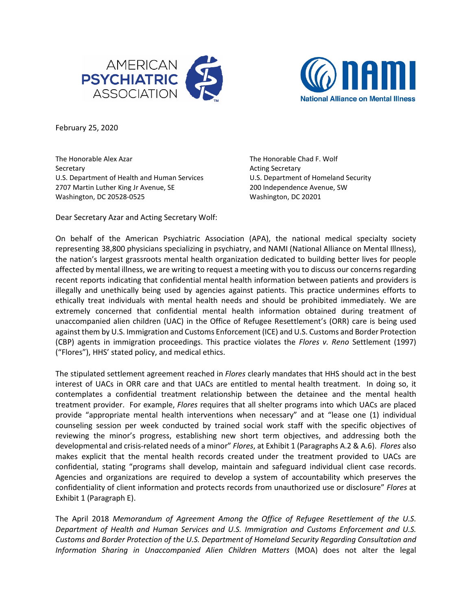



February 25, 2020

The Honorable Alex Azar The Honorable Chad F. Wolf Secretary **Acting Secretary** Acting Secretary U.S. Department of Health and Human Services U.S. Department of Homeland Security 2707 Martin Luther King Jr Avenue, SE 200 Independence Avenue, SW Washington, DC 20528-0525 Washington, DC 20201

Dear Secretary Azar and Acting Secretary Wolf:

On behalf of the American Psychiatric Association (APA), the national medical specialty society representing 38,800 physicians specializing in psychiatry, and NAMI (National Alliance on Mental Illness), the nation's largest grassroots mental health organization dedicated to building better lives for people affected by mental illness, we are writing to request a meeting with you to discuss our concerns regarding recent reports indicating that confidential mental health information between patients and providers is illegally and unethically being used by agencies against patients. This practice undermines efforts to ethically treat individuals with mental health needs and should be prohibited immediately. We are extremely concerned that confidential mental health information obtained during treatment of unaccompanied alien children (UAC) in the Office of Refugee Resettlement's (ORR) care is being used against them by U.S. Immigration and Customs Enforcement (ICE) and U.S. Customs and Border Protection (CBP) agents in immigration proceedings. This practice violates the *Flores v. Reno* Settlement (1997) ("Flores"), HHS' stated policy, and medical ethics.

The stipulated settlement agreement reached in *Flores* clearly mandates that HHS should act in the best interest of UACs in ORR care and that UACs are entitled to mental health treatment. In doing so, it contemplates a confidential treatment relationship between the detainee and the mental health treatment provider. For example, *Flores* requires that all shelter programs into which UACs are placed provide "appropriate mental health interventions when necessary" and at "lease one (1) individual counseling session per week conducted by trained social work staff with the specific objectives of reviewing the minor's progress, establishing new short term objectives, and addressing both the developmental and crisis-related needs of a minor" *Flores*, at Exhibit 1 (Paragraphs A.2 & A.6). *Flores* also makes explicit that the mental health records created under the treatment provided to UACs are confidential, stating "programs shall develop, maintain and safeguard individual client case records. Agencies and organizations are required to develop a system of accountability which preserves the confidentiality of client information and protects records from unauthorized use or disclosure" *Flores* at Exhibit 1 (Paragraph E).

The April 2018 *Memorandum of Agreement Among the Office of Refugee Resettlement of the U.S. Department of Health and Human Services and U.S. Immigration and Customs Enforcement and U.S. Customs and Border Protection of the U.S. Department of Homeland Security Regarding Consultation and Information Sharing in Unaccompanied Alien Children Matters* (MOA) does not alter the legal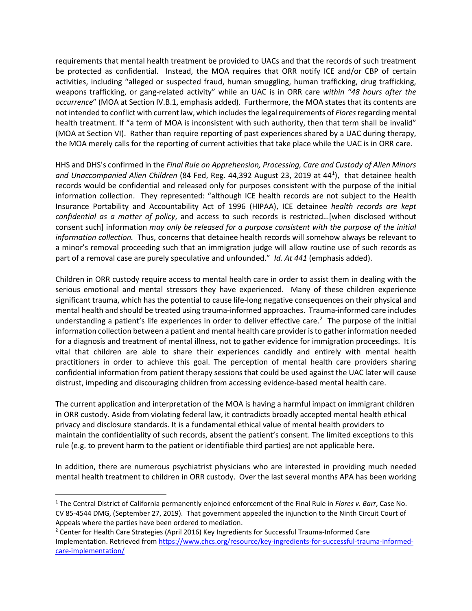requirements that mental health treatment be provided to UACs and that the records of such treatment be protected as confidential. Instead, the MOA requires that ORR notify ICE and/or CBP of certain activities, including "alleged or suspected fraud, human smuggling, human trafficking, drug trafficking, weapons trafficking, or gang-related activity" while an UAC is in ORR care *within "48 hours after the occurrence*" (MOA at Section IV.B.1, emphasis added). Furthermore, the MOA states that its contents are not intended to conflict with current law, which includesthe legal requirements of *Flores*regarding mental health treatment. If "a term of MOA is inconsistent with such authority, then that term shall be invalid" (MOA at Section VI). Rather than require reporting of past experiences shared by a UAC during therapy, the MOA merely calls for the reporting of current activities that take place while the UAC is in ORR care.

HHS and DHS's confirmed in the *Final Rule on Apprehension, Processing, Care and Custody of Alien Minors*  and Unaccompanied Alien Children (84 Fed, Reg. 44,392 August 23, 20[1](#page-1-0)9 at 44<sup>1</sup>), that detainee health records would be confidential and released only for purposes consistent with the purpose of the initial information collection. They represented: "although ICE health records are not subject to the Health Insurance Portability and Accountability Act of 1996 (HIPAA), ICE detainee *health records are kept confidential as a matter of policy*, and access to such records is restricted…[when disclosed without consent such] information *may only be released for a purpose consistent with the purpose of the initial information collection.* Thus, concerns that detainee health records will somehow always be relevant to a minor's removal proceeding such that an immigration judge will allow routine use of such records as part of a removal case are purely speculative and unfounded." *Id. At 441* (emphasis added).

Children in ORR custody require access to mental health care in order to assist them in dealing with the serious emotional and mental stressors they have experienced. Many of these children experience significant trauma, which has the potential to cause life-long negative consequences on their physical and mental health and should be treated using trauma-informed approaches. Trauma-informed care includes understanding a patient's life experiences in order to deliver effective care.<sup>[2](#page-1-1)</sup> The purpose of the initial information collection between a patient and mental health care provider is to gather information needed for a diagnosis and treatment of mental illness, not to gather evidence for immigration proceedings. It is vital that children are able to share their experiences candidly and entirely with mental health practitioners in order to achieve this goal. The perception of mental health care providers sharing confidential information from patient therapy sessions that could be used against the UAC later will cause distrust, impeding and discouraging children from accessing evidence-based mental health care.

The current application and interpretation of the MOA is having a harmful impact on immigrant children in ORR custody. Aside from violating federal law, it contradicts broadly accepted mental health ethical privacy and disclosure standards. It is a fundamental ethical value of mental health providers to maintain the confidentiality of such records, absent the patient's consent. The limited exceptions to this rule (e.g. to prevent harm to the patient or identifiable third parties) are not applicable here.

In addition, there are numerous psychiatrist physicians who are interested in providing much needed mental health treatment to children in ORR custody. Over the last several months APA has been working

<span id="page-1-0"></span><sup>1</sup> The Central District of California permanently enjoined enforcement of the Final Rule in *Flores v. Barr*, Case No. CV 85-4544 DMG, (September 27, 2019). That government appealed the injunction to the Ninth Circuit Court of Appeals where the parties have been ordered to mediation.

<span id="page-1-1"></span><sup>&</sup>lt;sup>2</sup> Center for Health Care Strategies (April 2016) Key Ingredients for Successful Trauma-Informed Care Implementation. Retrieved from [https://www.chcs.org/resource/key-ingredients-for-successful-trauma-informed](https://www.chcs.org/resource/key-ingredients-for-successful-trauma-informed-care-implementation/)[care-implementation/](https://www.chcs.org/resource/key-ingredients-for-successful-trauma-informed-care-implementation/)